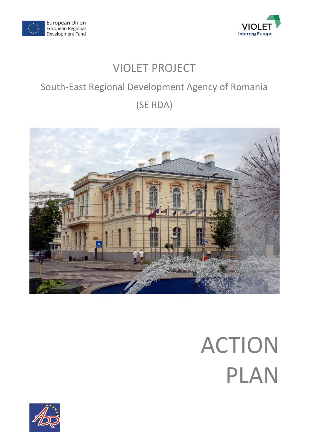



# VIOLET PROJECT

## South-East Regional Development Agency of Romania

# (SE RDA)



# ACTION PLAN

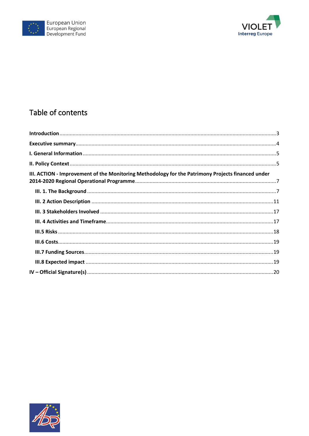



## Table of contents

| III. ACTION - Improvement of the Monitoring Methodology for the Patrimony Projects financed under |  |
|---------------------------------------------------------------------------------------------------|--|
|                                                                                                   |  |
|                                                                                                   |  |
|                                                                                                   |  |
|                                                                                                   |  |
|                                                                                                   |  |
|                                                                                                   |  |
|                                                                                                   |  |
|                                                                                                   |  |
|                                                                                                   |  |

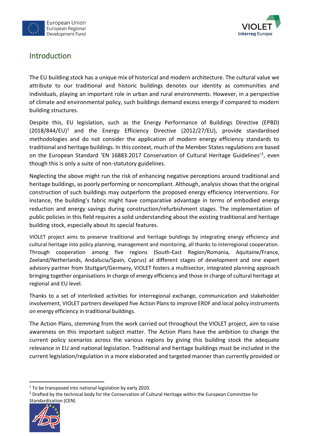



## <span id="page-2-0"></span>Introduction

The EU building stock has a unique mix of historical and modern architecture. The cultural value we attribute to our traditional and historic buildings denotes our identity as communities and individuals, playing an important role in urban and rural environments. However, in a perspective of climate and environmental policy, such buildings demand excess energy if compared to modern building structures.

Despite this, EU legislation, such as the Energy Performance of Buildings Directive (EPBD)  $(2018/844/EU)^1$  and the Energy Efficiency Directive (2012/27/EU), provide standardised methodologies and do not consider the application of modern energy efficiency standards to traditional and heritage buildings. In this context, much of the Member States regulations are based on the European Standard 'EN 16883:2017 Conservation of Cultural Heritage Guidelines'<sup>2</sup>, even though this is only a suite of non-statutory guidelines.

Neglecting the above might run the risk of enhancing negative perceptions around traditional and heritage buildings, as poorly performing or noncompliant. Although, analysis shows that the original construction of such buildings may outperform the proposed energy efficiency interventions. For instance, the building's fabric might have comparative advantage in terms of embodied energy reduction and energy savings during construction/refurbishment stages. The implementation of public policies in this field requires a solid understanding about the existing traditional and heritage building stock, especially about its special features.

VIOLET project aims to preserve traditional and heritage buildings by integrating energy efficiency and cultural heritage into policy planning, management and monitoring, all thanks to interregional cooperation. Through cooperation among five regions (South-East Region/Romania, Aquitaine/France, Zeeland/Netherlands, Andalucia/Spain, Cyprus) at different stages of development and one expert advisory partner from Stuttgart/Germany, VIOLET fosters a multisector, integrated planning approach bringing together organisations in charge of energy efficiency and those in charge of cultural heritage at regional and EU level.

Thanks to a set of interlinked activities for interregional exchange, communication and stakeholder involvement, VIOLET partners developed five Action Plans to improve ERDF and local policy instruments on energy efficiency in traditional buildings.

The Action Plans, stemming from the work carried out throughout the VIOLET project, aim to raise awareness on this important subject matter. The Action Plans have the ambition to change the current policy scenarios across the various regions by giving this building stock the adequate relevance in EU and national legislation. Traditional and heritage buildings must be included in the current legislation/regulation in a more elaborated and targeted manner than currently provided or

<sup>&</sup>lt;sup>2</sup> Drafted by the technical body for the Conservation of Cultural Heritage within the European Committee for Standardization (CEN)



 $1$ <sup>1</sup> To be transposed into national legislation by early 2020.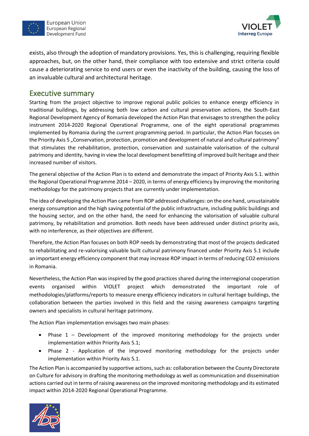



exists, also through the adoption of mandatory provisions. Yes, this is challenging, requiring flexible approaches, but, on the other hand, their compliance with too extensive and strict criteria could cause a deteriorating service to end users or even the inactivity of the building, causing the loss of an invaluable cultural and architectural heritage.

### <span id="page-3-0"></span>Executive summary

Starting from the project objective to improve regional public policies to enhance energy efficiency in traditional buildings, by addressing both low carbon and cultural preservation actions, the South-East Regional Development Agency of Romania developed the Action Plan that envisages to strengthen the policy instrument 2014-2020 Regional Operational Programme, one of the eight operational programmes implemented by Romania during the current programming period. In particular, the Action Plan focuses on the Priority Axis 5 "Conservation, protection, promotion and development of natural and cultural patrimony" that stimulates the rehabilitation, protection, conservation and sustainable valorisation of the cultural patrimony and identity, having in view the local development benefitting of improved built heritage and their increased number of visitors.

The general objective of the Action Plan is to extend and demonstrate the impact of Priority Axis 5.1. within the Regional Operational Programme 2014 – 2020, in terms of energy efficiency by improving the monitoring methodology for the patrimony projects that are currently under implementation.

The idea of developing the Action Plan came from ROP addressed challenges: on the one hand, unsustainable energy consumption and the high saving potential of the public infrastructure, including public buildings and the housing sector, and on the other hand, the need for enhancing the valorisation of valuable cultural patrimony, by rehabilitation and promotion. Both needs have been addressed under distinct priority axis, with no interference, as their objectives are different.

Therefore, the Action Plan focuses on both ROP needs by demonstrating that most of the projects dedicated to rehabilitating and re-valorising valuable built cultural patrimony financed under Priority Axis 5.1 include an important energy efficiency component that may increase ROP impact in terms of reducing CO2 emissions in Romania.

Nevertheless, the Action Plan was inspired by the good practices shared during the interregional cooperation events organised within VIOLET project which demonstrated the important role of methodologies/platforms/reports to measure energy efficiency indicators in cultural heritage buildings, the collaboration between the parties involved in this field and the raising awareness campaigns targeting owners and specialists in cultural heritage patrimony.

The Action Plan implementation envisages two main phases:

- Phase 1 Development of the improved monitoring methodology for the projects under implementation within Priority Axis 5.1;
- Phase 2 Application of the improved monitoring methodology for the projects under implementation within Priority Axis 5.1.

The Action Plan is accompanied by supportive actions, such as: collaboration between the County Directorate on Culture for advisory in drafting the monitoring methodology as well as communication and dissemination actions carried out in terms of raising awareness on the improved monitoring methodology and its estimated impact within 2014-2020 Regional Operational Programme.

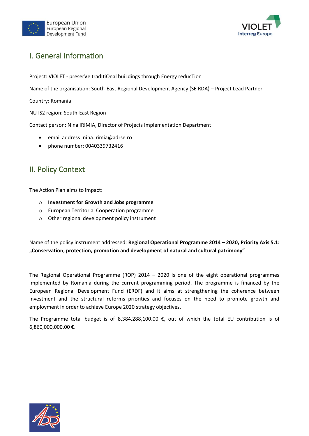



## <span id="page-4-0"></span>I. General Information

Project: VIOLET - preserVe tradItiOnal buiLdings through Energy reducTion

Name of the organisation: South-East Regional Development Agency (SE RDA) – Project Lead Partner

Country: Romania

NUTS2 region: South-East Region

Contact person: Nina IRIMIA, Director of Projects Implementation Department

- email address: nina.irimia@adrse.ro
- phone number: 0040339732416

## <span id="page-4-1"></span>II. Policy Context

The Action Plan aims to impact:

- o **Investment for Growth and Jobs programme**
- o European Territorial Cooperation programme
- o Other regional development policy instrument

Name of the policy instrument addressed: **Regional Operational Programme 2014 – 2020, Priority Axis 5.1: "Conservation, protection, promotion and development of natural and cultural patrimony"**

The Regional Operational Programme (ROP) 2014 – 2020 is one of the eight operational programmes implemented by Romania during the current programming period. The programme is financed by the European Regional Development Fund (ERDF) and it aims at strengthening the coherence between investment and the structural reforms priorities and focuses on the need to promote growth and employment in order to achieve Europe 2020 strategy objectives.

The Programme total budget is of 8,384,288,100.00 €, out of which the total EU contribution is of 6,860,000,000.00 €.

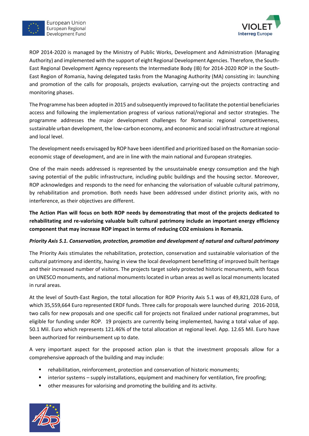

European Union European Regional Development Fund



ROP 2014-2020 is managed by the Ministry of Public Works, Development and Administration (Managing Authority) and implemented with the support of eight Regional Development Agencies. Therefore, the South-East Regional Development Agency represents the Intermediate Body (IB) for 2014-2020 ROP in the South-East Region of Romania, having delegated tasks from the Managing Authority (MA) consisting in: launching and promotion of the calls for proposals, projects evaluation, carrying-out the projects contracting and monitoring phases.

The Programme has been adopted in 2015 and subsequently improved to facilitate the potential beneficiaries access and following the implementation progress of various national/regional and sector strategies. The programme addresses the major development challenges for Romania: regional competitiveness, sustainable urban development, the low-carbon economy, and economic and social infrastructure at regional and local level.

The development needs envisaged by ROP have been identified and prioritized based on the Romanian socioeconomic stage of development, and are in line with the main national and European strategies.

One of the main needs addressed is represented by the unsustainable energy consumption and the high saving potential of the public infrastructure, including public buildings and the housing sector. Moreover, ROP acknowledges and responds to the need for enhancing the valorisation of valuable cultural patrimony, by rehabilitation and promotion. Both needs have been addressed under distinct priority axis, with no interference, as their objectives are different.

**The Action Plan will focus on both ROP needs by demonstrating that most of the projects dedicated to rehabilitating and re-valorising valuable built cultural patrimony include an important energy efficiency component that may increase ROP impact in terms of reducing CO2 emissions in Romania.** 

#### *Priority Axis 5.1. Conservation, protection, promotion and development of natural and cultural patrimony*

The Priority Axis stimulates the rehabilitation, protection, conservation and sustainable valorisation of the cultural patrimony and identity, having in view the local development benefitting of improved built heritage and their increased number of visitors. The projects target solely protected historic monuments, with focus on UNESCO monuments, and national monuments located in urban areas as well as local monuments located in rural areas.

At the level of South-East Region, the total allocation for ROP Priority Axis 5.1 was of 49,821,028 Euro, of which 35,559,664 Euro represented ERDF funds. Three calls for proposals were launched during 2016-2018, two calls for new proposals and one specific call for projects not finalized under national programmes, but eligible for funding under ROP. 19 projects are currently being implemented, having a total value of app. 50.1 Mil. Euro which represents 121.46% of the total allocation at regional level. App. 12.65 Mil. Euro have been authorized for reimbursement up to date.

A very important aspect for the proposed action plan is that the investment proposals allow for a comprehensive approach of the building and may include:

- rehabilitation, reinforcement, protection and conservation of historic monuments;
- interior systems supply installations, equipment and machinery for ventilation, fire proofing;
- other measures for valorising and promoting the building and its activity.

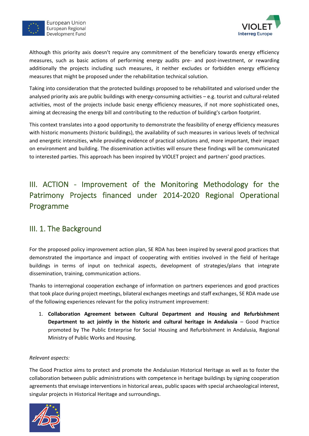



Although this priority axis doesn't require any commitment of the beneficiary towards energy efficiency measures, such as basic actions of performing energy audits pre- and post-investment, or rewarding additionally the projects including such measures, it neither excludes or forbidden energy efficiency measures that might be proposed under the rehabilitation technical solution.

Taking into consideration that the protected buildings proposed to be rehabilitated and valorised under the analysed priority axis are public buildings with energy-consuming activities – e.g. tourist and cultural-related activities, most of the projects include basic energy efficiency measures, if not more sophisticated ones, aiming at decreasing the energy bill and contributing to the reduction of building's carbon footprint.

This context translates into a good opportunity to demonstrate the feasibility of energy efficiency measures with historic monuments (historic buildings), the availability of such measures in various levels of technical and energetic intensities, while providing evidence of practical solutions and, more important, their impact on environment and building. The dissemination activities will ensure these findings will be communicated to interested parties. This approach has been inspired by VIOLET project and partners' good practices.

## <span id="page-6-0"></span>III. ACTION - Improvement of the Monitoring Methodology for the Patrimony Projects financed under 2014-2020 Regional Operational Programme

## <span id="page-6-1"></span>III. 1. The Background

For the proposed policy improvement action plan, SE RDA has been inspired by several good practices that demonstrated the importance and impact of cooperating with entities involved in the field of heritage buildings in terms of input on technical aspects, development of strategies/plans that integrate dissemination, training, communication actions.

Thanks to interregional cooperation exchange of information on partners experiences and good practices that took place during project meetings, bilateral exchanges meetings and staff exchanges, SE RDA made use of the following experiences relevant for the policy instrument improvement:

1. **Collaboration Agreement between Cultural Department and Housing and Refurbishment Department to act jointly in the historic and cultural heritage in Andalusia** – Good Practice promoted by The Public Enterprise for Social Housing and Refurbishment in Andalusia, Regional Ministry of Public Works and Housing.

#### *Relevant aspects:*

The Good Practice aims to protect and promote the Andalusian Historical Heritage as well as to foster the collaboration between public administrations with competence in heritage buildings by signing cooperation agreements that envisage interventions in historical areas, public spaces with special archaeological interest, singular projects in Historical Heritage and surroundings.

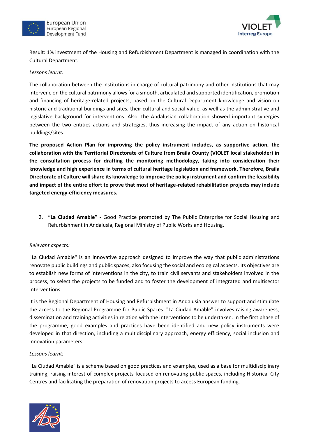



Result: 1% investment of the Housing and Refurbishment Department is managed in coordination with the Cultural Department.

*Lessons learnt:*

The collaboration between the institutions in charge of cultural patrimony and other institutions that may intervene on the cultural patrimony allows for a smooth, articulated and supported identification, promotion and financing of heritage-related projects, based on the Cultural Department knowledge and vision on historic and traditional buildings and sites, their cultural and social value, as well as the administrative and legislative background for interventions. Also, the Andalusian collaboration showed important synergies between the two entities actions and strategies, thus increasing the impact of any action on historical buildings/sites.

**The proposed Action Plan for improving the policy instrument includes, as supportive action, the collaboration with the Territorial Directorate of Culture from Braila County (VIOLET local stakeholder) in the consultation process for drafting the monitoring methodology, taking into consideration their knowledge and high experience in terms of cultural heritage legislation and framework. Therefore, Braila Directorate of Culture will share its knowledge to improve the policy instrument and confirm the feasibility and impact of the entire effort to prove that most of heritage-related rehabilitation projects may include targeted energy-efficiency measures.**

2. **"La Ciudad Amable" -** Good Practice promoted by The Public Enterprise for Social Housing and Refurbishment in Andalusia, Regional Ministry of Public Works and Housing.

#### *Relevant aspects:*

"La Ciudad Amable" is an innovative approach designed to improve the way that public administrations renovate public buildings and public spaces, also focusing the social and ecological aspects. Its objectives are to establish new forms of interventions in the city, to train civil servants and stakeholders involved in the process, to select the projects to be funded and to foster the development of integrated and multisector interventions.

It is the Regional Department of Housing and Refurbishment in Andalusia answer to support and stimulate the access to the Regional Programme for Public Spaces. "La Ciudad Amable" involves raising awareness, dissemination and training activities in relation with the interventions to be undertaken. In the first phase of the programme, good examples and practices have been identified and new policy instruments were developed in that direction, including a multidisciplinary approach, energy efficiency, social inclusion and innovation parameters.

#### *Lessons learnt:*

"La Ciudad Amable" is a scheme based on good practices and examples, used as a base for multidisciplinary training, raising interest of complex projects focused on renovating public spaces, including Historical City Centres and facilitating the preparation of renovation projects to access European funding.

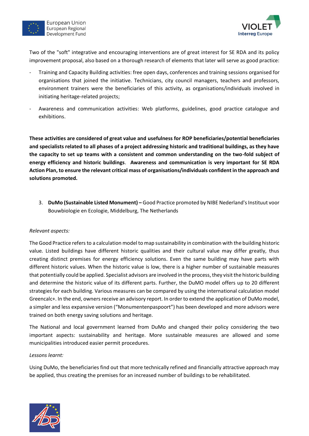



Two of the "soft" integrative and encouraging interventions are of great interest for SE RDA and its policy improvement proposal, also based on a thorough research of elements that later will serve as good practice:

- Training and Capacity Building activities: free open days, conferences and training sessions organised for organisations that joined the initiative. Technicians, city council managers, teachers and professors, environment trainers were the beneficiaries of this activity, as organisations/individuals involved in initiating heritage-related projects;
- Awareness and communication activities: Web platforms, guidelines, good practice catalogue and exhibitions.

**These activities are considered of great value and usefulness for ROP beneficiaries/potential beneficiaries and specialists related to all phases of a project addressing historic and traditional buildings, as they have the capacity to set up teams with a consistent and common understanding on the two-fold subject of energy efficiency and historic buildings**. **Awareness and communication is very important for SE RDA Action Plan, to ensure the relevant critical mass of organisations/individuals confident in the approach and solutions promoted.** 

3. **DuMo (Sustainable Listed Monument) –** Good Practice promoted by NIBE Nederland's Instituut voor Bouwbiologie en Ecologie, Middelburg, The Netherlands

#### *Relevant aspects:*

The Good Practice refers to a calculation model to map sustainability in combination with the building historic value*.* Listed buildings have different historic qualities and their cultural value may differ greatly, thus creating distinct premises for energy efficiency solutions. Even the same building may have parts with different historic values. When the historic value is low, there is a higher number of sustainable measures that potentially could be applied. Specialist advisors are involved in the process, they visit the historic building and determine the historic value of its different parts. Further, the DuMO model offers up to 20 different strategies for each building. Various measures can be compared by using the international calculation model Greencalc+. In the end, owners receive an advisory report. In order to extend the application of DuMo model, a simpler and less expansive version ("Monumentenpaspoort") has been developed and more advisors were trained on both energy saving solutions and heritage.

The National and local government learned from DuMo and changed their policy considering the two important aspects: sustainability and heritage. More sustainable measures are allowed and some municipalities introduced easier permit procedures.

#### *Lessons learnt:*

Using DuMo, the beneficiaries find out that more technically refined and financially attractive approach may be applied, thus creating the premises for an increased number of buildings to be rehabilitated.

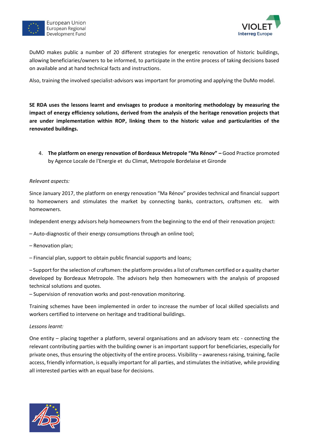



DuMO makes public a number of 20 different strategies for energetic renovation of historic buildings, allowing beneficiaries/owners to be informed, to participate in the entire process of taking decisions based on available and at hand technical facts and instructions.

Also, training the involved specialist-advisors was important for promoting and applying the DuMo model.

**SE RDA uses the lessons learnt and envisages to produce a monitoring methodology by measuring the impact of energy efficiency solutions, derived from the analysis of the heritage renovation projects that are under implementation within ROP, linking them to the historic value and particularities of the renovated buildings.**

4. **The platform on energy renovation of Bordeaux Metropole "Ma Rénov" –** Good Practice promoted by Agence Locale de l'Energie et du Climat, Metropole Bordelaise et Gironde

#### *Relevant aspects:*

Since January 2017, the platform on energy renovation "Ma Rénov" provides technical and financial support to homeowners and stimulates the market by connecting banks, contractors, craftsmen etc. with homeowners.

Independent energy advisors help homeowners from the beginning to the end of their renovation project:

- Auto-diagnostic of their energy consumptions through an online tool;
- Renovation plan;
- Financial plan, support to obtain public financial supports and loans;

– Support for the selection of craftsmen: the platform provides a list of craftsmen certified or a quality charter developed by Bordeaux Metropole. The advisors help then homeowners with the analysis of proposed technical solutions and quotes.

– Supervision of renovation works and post-renovation monitoring.

Training schemes have been implemented in order to increase the number of local skilled specialists and workers certified to intervene on heritage and traditional buildings.

#### *Lessons learnt:*

One entity – placing together a platform, several organisations and an advisory team etc - connecting the relevant contributing parties with the building owner is an important support for beneficiaries, especially for private ones, thus ensuring the objectivity of the entire process. Visibility – awareness raising, training, facile access, friendly information, is equally important for all parties, and stimulates the initiative, while providing all interested parties with an equal base for decisions.

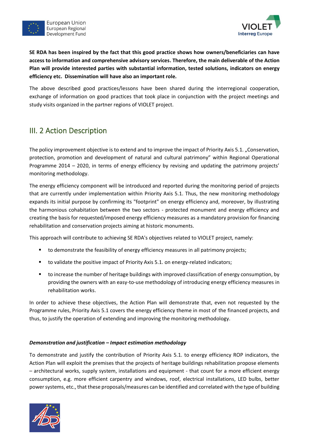



**SE RDA has been inspired by the fact that this good practice shows how owners/beneficiaries can have access to information and comprehensive advisory services. Therefore, the main deliverable of the Action Plan will provide interested parties with substantial information, tested solutions, indicators on energy efficiency etc. Dissemination will have also an important role.**

The above described good practices/lessons have been shared during the interregional cooperation, exchange of information on good practices that took place in conjunction with the project meetings and study visits organized in the partner regions of VIOLET project.

## <span id="page-10-0"></span>III. 2 Action Description

The policy improvement objective is to extend and to improve the impact of Priority Axis 5.1. "Conservation, protection, promotion and development of natural and cultural patrimony" within Regional Operational Programme 2014 – 2020, in terms of energy efficiency by revising and updating the patrimony projects' monitoring methodology.

The energy efficiency component will be introduced and reported during the monitoring period of projects that are currently under implementation within Priority Axis 5.1. Thus, the new monitoring methodology expands its initial purpose by confirming its "footprint" on energy efficiency and, moreover, by illustrating the harmonious cohabitation between the two sectors - protected monument and energy efficiency and creating the basis for requested/imposed energy efficiency measures as a mandatory provision for financing rehabilitation and conservation projects aiming at historic monuments.

This approach will contribute to achieving SE RDA's objectives related to VIOLET project, namely:

- to demonstrate the feasibility of energy efficiency measures in all patrimony projects;
- to validate the positive impact of Priority Axis 5.1. on energy-related indicators;
- to increase the number of heritage buildings with improved classification of energy consumption, by providing the owners with an easy-to-use methodology of introducing energy efficiency measures in rehabilitation works.

In order to achieve these objectives, the Action Plan will demonstrate that, even not requested by the Programme rules, Priority Axis 5.1 covers the energy efficiency theme in most of the financed projects, and thus, to justify the operation of extending and improving the monitoring methodology.

#### *Demonstration and justification – Impact estimation methodology*

To demonstrate and justify the contribution of Priority Axis 5.1. to energy efficiency ROP indicators, the Action Plan will exploit the premises that the projects of heritage buildings rehabilitation propose elements – architectural works, supply system, installations and equipment - that count for a more efficient energy consumption, e.g. more efficient carpentry and windows, roof, electrical installations, LED bulbs, better power systems, etc., that these proposals/measures can be identified and correlated with the type of building

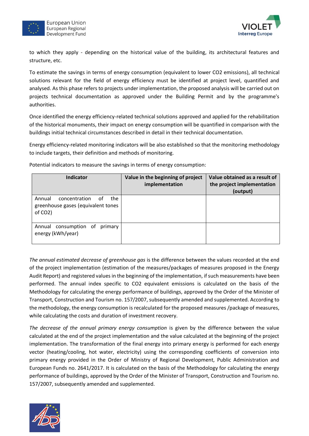



to which they apply - depending on the historical value of the building, its architectural features and structure, etc.

To estimate the savings in terms of energy consumption (equivalent to lower CO2 emissions), all technical solutions relevant for the field of energy efficiency must be identified at project level, quantified and analysed. As this phase refers to projects under implementation, the proposed analysis will be carried out on projects technical documentation as approved under the Building Permit and by the programme's authorities.

Once identified the energy efficiency-related technical solutions approved and applied for the rehabilitation of the historical monuments, their impact on energy consumption will be quantified in comparison with the buildings initial technical circumstances described in detail in their technical documentation.

Energy efficiency-related monitoring indicators will be also established so that the monitoring methodology to include targets, their definition and methods of monitoring.

| <b>Indicator</b>                                                                                   | Value in the beginning of project<br>implementation | Value obtained as a result of<br>the project implementation<br>(output) |
|----------------------------------------------------------------------------------------------------|-----------------------------------------------------|-------------------------------------------------------------------------|
| Annual<br>concentration<br>the<br>0t<br>greenhouse gases (equivalent tones<br>of CO <sub>2</sub> ) |                                                     |                                                                         |
| Annual consumption of<br>primary<br>energy (kWh/year)                                              |                                                     |                                                                         |

Potential indicators to measure the savings in terms of energy consumption:

*The annual estimated decrease of greenhouse gas* is the difference between the values recorded at the end of the project implementation (estimation of the measures/packages of measures proposed in the Energy Audit Report) and registered values in the beginning of the implementation, if such measurements have been performed. The annual index specific to CO2 equivalent emissions is calculated on the basis of the Methodology for calculating the energy performance of buildings, approved by the Order of the Minister of Transport, Construction and Tourism no. 157/2007, subsequently amended and supplemented. According to the methodology, the energy consumption is recalculated for the proposed measures /package of measures, while calculating the costs and duration of investment recovery.

*The decrease of the annual primary energy consumption* is given by the difference between the value calculated at the end of the project implementation and the value calculated at the beginning of the project implementation. The transformation of the final energy into primary energy is performed for each energy vector (heating/cooling, hot water, electricity) using the corresponding coefficients of conversion into primary energy provided in the Order of Ministry of Regional Development, Public Administration and European Funds no. 2641/2017. It is calculated on the basis of the Methodology for calculating the energy performance of buildings, approved by the Order of the Minister of Transport, Construction and Tourism no. 157/2007, subsequently amended and supplemented.

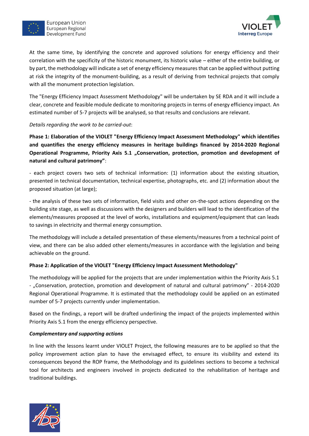



At the same time, by identifying the concrete and approved solutions for energy efficiency and their correlation with the specificity of the historic monument, its historic value – either of the entire building, or by part, the methodology will indicate a set of energy efficiency measures that can be applied without putting at risk the integrity of the monument-building, as a result of deriving from technical projects that comply with all the monument protection legislation.

The "Energy Efficiency Impact Assessment Methodology" will be undertaken by SE RDA and it will include a clear, concrete and feasible module dedicate to monitoring projects in terms of energy efficiency impact. An estimated number of 5-7 projects will be analysed, so that results and conclusions are relevant.

#### *Details regarding the work to be carried-out*:

**Phase 1: Elaboration of the VIOLET "Energy Efficiency Impact Assessment Methodology" which identifies and quantifies the energy efficiency measures in heritage buildings financed by 2014-2020 Regional Operational Programme, Priority Axis 5.1 "Conservation, protection, promotion and development of natural and cultural patrimony"**:

- each project covers two sets of technical information: (1) information about the existing situation, presented in technical documentation, technical expertise, photographs, etc. and (2) information about the proposed situation (at large);

- the analysis of these two sets of information, field visits and other on-the-spot actions depending on the building site stage, as well as discussions with the designers and builders will lead to the identification of the elements/measures proposed at the level of works, installations and equipment/equipment that can leads to savings in electricity and thermal energy consumption.

The methodology will include a detailed presentation of these elements/measures from a technical point of view, and there can be also added other elements/measures in accordance with the legislation and being achievable on the ground.

#### **Phase 2: Application of the VIOLET "Energy Efficiency Impact Assessment Methodology"**

The methodology will be applied for the projects that are under implementation within the Priority Axis 5.1 - "Conservation, protection, promotion and development of natural and cultural patrimony" - 2014-2020 Regional Operational Programme. It is estimated that the methodology could be applied on an estimated number of 5-7 projects currently under implementation.

Based on the findings, a report will be drafted underlining the impact of the projects implemented within Priority Axis 5.1 from the energy efficiency perspective.

#### *Complementary and supporting actions*

In line with the lessons learnt under VIOLET Project, the following measures are to be applied so that the policy improvement action plan to have the envisaged effect, to ensure its visibility and extend its consequences beyond the ROP frame, the Methodology and its guidelines sections to become a technical tool for architects and engineers involved in projects dedicated to the rehabilitation of heritage and traditional buildings.

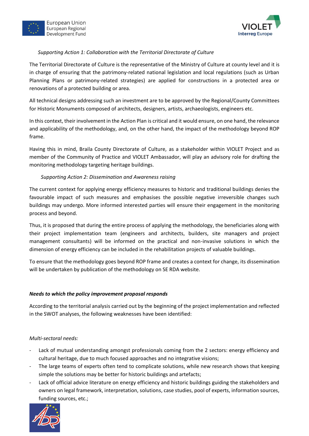



#### *Supporting Action 1: Collaboration with the Territorial Directorate of Culture*

The Territorial Directorate of Culture is the representative of the Ministry of Culture at county level and it is in charge of ensuring that the patrimony-related national legislation and local regulations (such as Urban Planning Plans or patrimony-related strategies) are applied for constructions in a protected area or renovations of a protected building or area.

All technical designs addressing such an investment are to be approved by the Regional/County Committees for Historic Monuments composed of architects, designers, artists, archaeologists, engineers etc.

In this context, their involvement in the Action Plan is critical and it would ensure, on one hand, the relevance and applicability of the methodology, and, on the other hand, the impact of the methodology beyond ROP frame.

Having this in mind, Braila County Directorate of Culture, as a stakeholder within VIOLET Project and as member of the Community of Practice and VIOLET Ambassador, will play an advisory role for drafting the monitoring methodology targeting heritage buildings.

#### *Supporting Action 2: Dissemination and Awareness raising*

The current context for applying energy efficiency measures to historic and traditional buildings denies the favourable impact of such measures and emphasises the possible negative irreversible changes such buildings may undergo. More informed interested parties will ensure their engagement in the monitoring process and beyond.

Thus, it is proposed that during the entire process of applying the methodology, the beneficiaries along with their project implementation team (engineers and architects, builders, site managers and project management consultants) will be informed on the practical and non-invasive solutions in which the dimension of energy efficiency can be included in the rehabilitation projects of valuable buildings.

To ensure that the methodology goes beyond ROP frame and creates a context for change, its dissemination will be undertaken by publication of the methodology on SE RDA website.

#### *Needs to which the policy improvement proposal responds*

According to the territorial analysis carried out by the beginning of the project implementation and reflected in the SWOT analyses, the following weaknesses have been identified:

#### *Multi-sectoral needs:*

- Lack of mutual understanding amongst professionals coming from the 2 sectors: energy efficiency and cultural heritage, due to much focused approaches and no integrative visions;
- The large teams of experts often tend to complicate solutions, while new research shows that keeping simple the solutions may be better for historic buildings and artefacts;
- Lack of official advice literature on energy efficiency and historic buildings guiding the stakeholders and owners on legal framework, interpretation, solutions, case studies, pool of experts, information sources, funding sources, etc.;

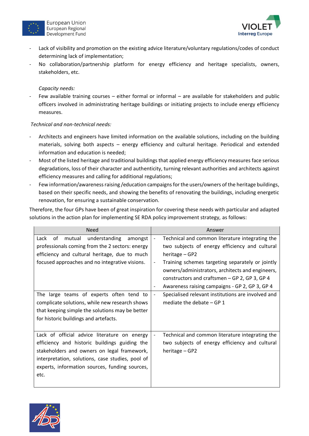



- Lack of visibility and promotion on the existing advice literature/voluntary regulations/codes of conduct determining lack of implementation;
- No collaboration/partnership platform for energy efficiency and heritage specialists, owners, stakeholders, etc.

#### *Capacity needs:*

- Few available training courses – either formal or informal – are available for stakeholders and public officers involved in administrating heritage buildings or initiating projects to include energy efficiency measures.

#### *Technical and non-technical needs:*

- Architects and engineers have limited information on the available solutions, including on the building materials, solving both aspects – energy efficiency and cultural heritage. Periodical and extended information and education is needed;
- Most of the listed heritage and traditional buildings that applied energy efficiency measures face serious degradations, loss of their character and authenticity, turning relevant authorities and architects against efficiency measures and calling for additional regulations;
- Few information/awareness raising /education campaigns for the users/owners of the heritage buildings, based on their specific needs, and showing the benefits of renovating the buildings, including energetic renovation, for ensuring a sustainable conservation.

Therefore, the four GPs have been of great inspiration for covering these needs with particular and adapted solutions in the action plan for implementing SE RDA policy improvement strategy, as follows:

| <b>Need</b>                                                                                                                                                                                                                                                | Answer                                                                                                                                                                                                                                                                                                                                                                                 |  |
|------------------------------------------------------------------------------------------------------------------------------------------------------------------------------------------------------------------------------------------------------------|----------------------------------------------------------------------------------------------------------------------------------------------------------------------------------------------------------------------------------------------------------------------------------------------------------------------------------------------------------------------------------------|--|
| understanding<br>of<br>mutual<br>Lack<br>amongst<br>professionals coming from the 2 sectors: energy<br>efficiency and cultural heritage, due to much<br>focused approaches and no integrative visions.                                                     | Technical and common literature integrating the<br>two subjects of energy efficiency and cultural<br>heritage - GP2<br>Training schemes targeting separately or jointly<br>$\overline{\phantom{a}}$<br>owners/administrators, architects and engineers,<br>constructors and craftsmen - GP 2, GP 3, GP 4<br>Awareness raising campaigns - GP 2, GP 3, GP 4<br>$\overline{\phantom{a}}$ |  |
| The large teams of experts often tend to<br>complicate solutions, while new research shows<br>that keeping simple the solutions may be better<br>for historic buildings and artefacts.                                                                     | Specialised relevant institutions are involved and<br>mediate the debate $-$ GP 1                                                                                                                                                                                                                                                                                                      |  |
| Lack of official advice literature on energy<br>efficiency and historic buildings guiding the<br>stakeholders and owners on legal framework,<br>interpretation, solutions, case studies, pool of<br>experts, information sources, funding sources,<br>etc. | Technical and common literature integrating the<br>two subjects of energy efficiency and cultural<br>heritage - GP2                                                                                                                                                                                                                                                                    |  |

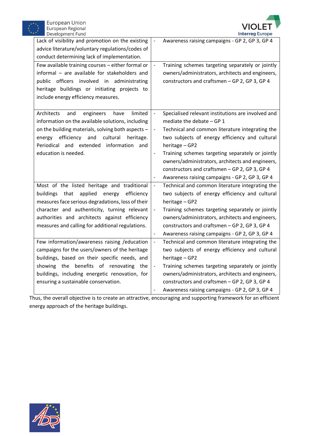



| Lack of visibility and promotion on the existing<br>advice literature/voluntary regulations/codes of<br>conduct determining lack of implementation.<br>Few available training courses - either formal or<br>informal - are available for stakeholders and<br>public officers involved in administrating<br>heritage buildings or initiating projects to<br>include energy efficiency measures. | $\Box$<br>$\Box$                                                                               | Awareness raising campaigns - GP 2, GP 3, GP 4<br>Training schemes targeting separately or jointly<br>owners/administrators, architects and engineers,<br>constructors and craftsmen - GP 2, GP 3, GP 4                                                                                                                                                                                                             |
|------------------------------------------------------------------------------------------------------------------------------------------------------------------------------------------------------------------------------------------------------------------------------------------------------------------------------------------------------------------------------------------------|------------------------------------------------------------------------------------------------|---------------------------------------------------------------------------------------------------------------------------------------------------------------------------------------------------------------------------------------------------------------------------------------------------------------------------------------------------------------------------------------------------------------------|
| Architects<br>engineers<br>limited<br>and<br>have<br>information on the available solutions, including<br>on the building materials, solving both aspects -<br>efficiency and<br>cultural<br>heritage.<br>energy<br>Periodical and extended information<br>and<br>education is needed.                                                                                                         | $\Box$<br>$\qquad \qquad \blacksquare$<br>$\overline{\phantom{a}}$<br>$\overline{\phantom{a}}$ | Specialised relevant institutions are involved and<br>mediate the debate $-$ GP 1<br>Technical and common literature integrating the<br>two subjects of energy efficiency and cultural<br>heritage - GP2<br>Training schemes targeting separately or jointly<br>owners/administrators, architects and engineers,<br>constructors and craftsmen - GP 2, GP 3, GP 4<br>Awareness raising campaigns - GP 2, GP 3, GP 4 |
| Most of the listed heritage and traditional<br>applied<br>buildings<br>that<br>energy<br>efficiency<br>measures face serious degradations, loss of their<br>character and authenticity, turning relevant<br>authorities and architects against efficiency<br>measures and calling for additional regulations.                                                                                  | $\Box$<br>$\overline{\phantom{a}}$<br>$\overline{\phantom{a}}$                                 | Technical and common literature integrating the<br>two subjects of energy efficiency and cultural<br>heritage - GP2<br>Training schemes targeting separately or jointly<br>owners/administrators, architects and engineers,<br>constructors and craftsmen - GP 2, GP 3, GP 4<br>Awareness raising campaigns - GP 2, GP 3, GP 4                                                                                      |
| Few information/awareness raising /education<br>campaigns for the users/owners of the heritage<br>buildings, based on their specific needs, and<br>showing the benefits of renovating the<br>buildings, including energetic renovation, for<br>ensuring a sustainable conservation.                                                                                                            | $\blacksquare$<br>$\overline{\phantom{a}}$                                                     | Technical and common literature integrating the<br>two subjects of energy efficiency and cultural<br>heritage - GP2<br>Training schemes targeting separately or jointly<br>owners/administrators, architects and engineers,<br>constructors and craftsmen - GP 2, GP 3, GP 4<br>Awareness raising campaigns - GP 2, GP 3, GP 4                                                                                      |

Thus, the overall objective is to create an attractive, encouraging and supporting framework for an efficient energy approach of the heritage buildings.

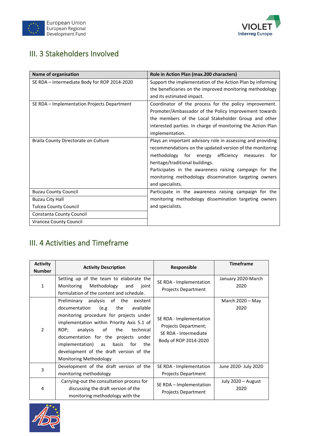



## <span id="page-16-0"></span>III. 3 Stakeholders Involved

| Name of organisation                         | Role in Action Plan (max.200 characters)                    |  |
|----------------------------------------------|-------------------------------------------------------------|--|
| SE RDA - Intermediate Body for ROP 2014-2020 | Support the implementation of the Action Plan by informing  |  |
|                                              | the beneficiaries on the improved monitoring methodology    |  |
|                                              | and its estimated impact.                                   |  |
| SE RDA - Implementation Projects Department  | Coordinator of the process for the policy improvement.      |  |
|                                              | Promoter/Ambassador of the Policy Improvement towards       |  |
|                                              | the members of the Local Stakeholder Group and other        |  |
|                                              | interested parties. In charge of monitoring the Action Plan |  |
|                                              | implementation.                                             |  |
| Braila County Directorate on Culture         | Plays an important advisory role in assessing and providing |  |
|                                              | recommendations on the updated version of the monitoring    |  |
|                                              | methodology for energy efficiency<br>for<br>measures        |  |
|                                              | heritage/traditional buildings.                             |  |
|                                              | Participates in the awareness raising campaign for the      |  |
|                                              | monitoring methodology dissemination targeting owners       |  |
|                                              | and specialists.                                            |  |
| <b>Buzau County Council</b>                  | Participate in the awareness raising campaign for the       |  |
| <b>Buzau City Hall</b>                       | monitoring methodology dissemination targeting owners       |  |
| <b>Tulcea County Council</b>                 | and specialists.                                            |  |
| Constanta County Council                     |                                                             |  |
| <b>Vrancea County Council</b>                |                                                             |  |

## <span id="page-16-1"></span>III. 4 Activities and Timeframe

| <b>Activity</b><br><b>Number</b> | <b>Activity Description</b>                                                                                                                                                                                                                                                                                                                                                           | <b>Responsible</b>                                                                                | <b>Timeframe</b>           |
|----------------------------------|---------------------------------------------------------------------------------------------------------------------------------------------------------------------------------------------------------------------------------------------------------------------------------------------------------------------------------------------------------------------------------------|---------------------------------------------------------------------------------------------------|----------------------------|
| 1                                | Setting up of the team to elaborate the<br>Monitoring<br>Methodology<br>joint<br>and<br>formulation of the content and schedule.                                                                                                                                                                                                                                                      | SE RDA - Implementation<br><b>Projects Department</b>                                             | January 2020-March<br>2020 |
| $\overline{2}$                   | Preliminary analysis of the<br>existent<br>e.g)<br>documentation<br>the<br>available<br>monitoring procedure for projects under<br>implementation within Priority Axis 5.1 of<br>of<br>ROP;<br>analysis<br>the<br>technical<br>documentation for the projects under<br>implementation) as<br>basis<br>for<br>the<br>development of the draft version of the<br>Monitoring Methodology | SE RDA - Implementation<br>Projects Department;<br>SE RDA - Intermediate<br>Body of ROP 2014-2020 | March $2020 - May$<br>2020 |
| 3                                | Development of the draft version of the<br>monitoring methodology                                                                                                                                                                                                                                                                                                                     | SE RDA - Implementation<br><b>Projects Department</b>                                             | June 2020- July 2020       |
| 4                                | Carrying-out the consultation process for<br>discussing the draft version of the<br>monitoring methodology with the                                                                                                                                                                                                                                                                   | SE RDA - Implementation<br><b>Projects Department</b>                                             | July 2020 - August<br>2020 |

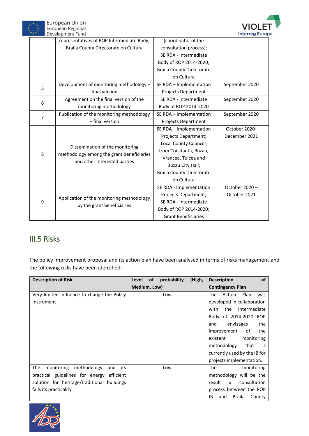



|   | representatives of ROP Intermediate Body,                                                                    | (coordinator of the              |                |
|---|--------------------------------------------------------------------------------------------------------------|----------------------------------|----------------|
|   | Braila County Directorate on Culture                                                                         | consultation process);           |                |
|   |                                                                                                              | SE RDA - Intermediate            |                |
|   |                                                                                                              | Body of ROP 2014-2020;           |                |
|   |                                                                                                              | <b>Braila County Directorate</b> |                |
|   |                                                                                                              | on Culture                       |                |
| 5 | Development of monitoring methodology -                                                                      | SE RDA - Implementation          | September 2020 |
|   | final version                                                                                                | Projects Department              |                |
|   | Agreement on the final version of the                                                                        | SE RDA - Intermediate            | September 2020 |
| 6 | monitoring methodology                                                                                       | Body of ROP 2014-2020            |                |
| 7 | Publication of the monitoring methodology                                                                    | SE RDA - Implementation          | September 2020 |
|   | - final version                                                                                              | Projects Department              |                |
|   | Dissemination of the monitoring<br>methodology among the grant beneficiaries<br>and other interested parties | SE RDA - Implementation          | October 2020-  |
|   |                                                                                                              | Projects Department;             | December 2021  |
|   |                                                                                                              | <b>Local County Councils</b>     |                |
|   |                                                                                                              | from Constanta, Buzau,           |                |
| 8 |                                                                                                              | Vrancea, Tulcea and              |                |
|   |                                                                                                              | Buzau City Hall;                 |                |
|   |                                                                                                              | <b>Braila County Directorate</b> |                |
|   |                                                                                                              | on Culture                       |                |
| 9 |                                                                                                              | SE RDA - Implementation          | October 2020-  |
|   | Application of the monitoring methodology<br>by the grant beneficiaries                                      | Projects Department;             | October 2021   |
|   |                                                                                                              | SE RDA - Intermediate            |                |
|   |                                                                                                              | Body of ROP 2014-2020;           |                |
|   |                                                                                                              | <b>Grant Beneficiaries</b>       |                |

## <span id="page-17-0"></span>III.5 Risks

The policy improvement proposal and its action plan have been analysed in terms of risks management and the following risks have been identified:

| <b>Description of Risk</b>                     | probability<br>(High,<br>Level<br><b>of</b> | <b>of</b><br><b>Description</b> |
|------------------------------------------------|---------------------------------------------|---------------------------------|
|                                                | Medium, Low)                                | <b>Contingency Plan</b>         |
| Very limited influence to change the Policy    | Low                                         | The<br>Action<br>Plan<br>was    |
| Instrument                                     |                                             | developed in collaboration      |
|                                                |                                             | the Intermediate<br>with        |
|                                                |                                             | Body of 2014-2020 ROP           |
|                                                |                                             | envisages<br>the<br>and         |
|                                                |                                             | improvement<br>of<br>the        |
|                                                |                                             | existent<br>monitoring          |
|                                                |                                             | methodology<br>that<br>is       |
|                                                |                                             | currently used by the IB for    |
|                                                |                                             | projects implementation.        |
| methodology<br>The<br>monitoring<br>and<br>its | Low                                         | The<br>monitoring               |
| practical guidelines for energy efficient      |                                             | methodology will be the         |
| solution for heritage/traditional buildings    |                                             | consultation<br>result<br>a     |
| fails its practicality                         |                                             | process between the ROP         |
|                                                |                                             | Braila<br>ΙB<br>County<br>and   |

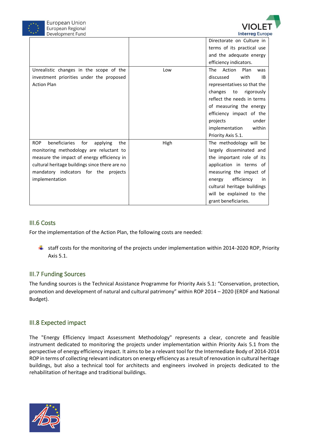



|                                                       |      | Directorate on Culture in           |
|-------------------------------------------------------|------|-------------------------------------|
|                                                       |      | terms of its practical use          |
|                                                       |      | and the adequate energy             |
|                                                       |      | efficiency indicators.              |
| Unrealistic changes in the scope of the               | Low  | Plan<br><b>The</b><br>Action<br>was |
| investment priorities under the proposed              |      | discussed<br>with<br><b>IB</b>      |
| <b>Action Plan</b>                                    |      | representatives so that the         |
|                                                       |      | changes<br>rigorously<br>to         |
|                                                       |      | reflect the needs in terms          |
|                                                       |      | of measuring the energy             |
|                                                       |      | efficiency impact of the            |
|                                                       |      | under<br>projects                   |
|                                                       |      | implementation<br>within            |
|                                                       |      | Priority Axis 5.1.                  |
| beneficiaries<br><b>ROP</b><br>for<br>applying<br>the | High | The methodology will be             |
| monitoring methodology are reluctant to               |      | largely disseminated and            |
| measure the impact of energy efficiency in            |      | the important role of its           |
| cultural heritage buildings since there are no        |      | application in terms of             |
| mandatory indicators for the projects                 |      | measuring the impact of             |
| implementation                                        |      | efficiency<br>energy<br>in.         |
|                                                       |      | cultural heritage buildings         |
|                                                       |      | will be explained to the            |
|                                                       |      | grant beneficiaries.                |

#### <span id="page-18-0"></span>III.6 Costs

For the implementation of the Action Plan, the following costs are needed:

staff costs for the monitoring of the projects under implementation within 2014-2020 ROP, Priority Axis 5.1.

#### <span id="page-18-1"></span>III.7 Funding Sources

The funding sources is the Technical Assistance Programme for Priority Axis 5.1: "Conservation, protection, promotion and development of natural and cultural patrimony" within ROP 2014 – 2020 (ERDF and National Budget).

#### <span id="page-18-2"></span>III.8 Expected impact

The "Energy Efficiency Impact Assessment Methodology" represents a clear, concrete and feasible instrument dedicated to monitoring the projects under implementation within Priority Axis 5.1 from the perspective of energy efficiency impact. It aims to be a relevant tool for the Intermediate Body of 2014-2014 ROP in terms of collecting relevant indicators on energy efficiency as a result of renovation in cultural heritage buildings, but also a technical tool for architects and engineers involved in projects dedicated to the rehabilitation of heritage and traditional buildings.

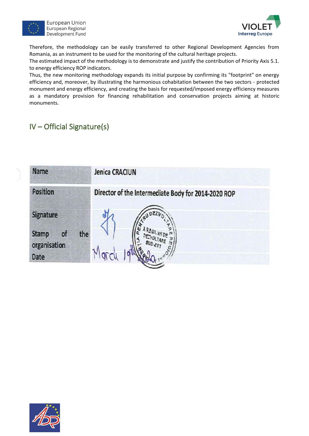

European Union European Regional Development Fund



Therefore, the methodology can be easily transferred to other Regional Development Agencies from Romania, as an instrument to be used for the monitoring of the cultural heritage projects.

The estimated impact of the methodology is to demonstrate and justify the contribution of Priority Axis 5.1. to energy efficiency ROP indicators.

Thus, the new monitoring methodology expands its initial purpose by confirming its "footprint" on energy efficiency and, moreover, by illustrating the harmonious cohabitation between the two sectors - protected monument and energy efficiency, and creating the basis for requested/imposed energy efficiency measures as a mandatory provision for financing rehabilitation and conservation projects aiming at historic monuments.

## <span id="page-19-0"></span>IV – Official Signature(s)